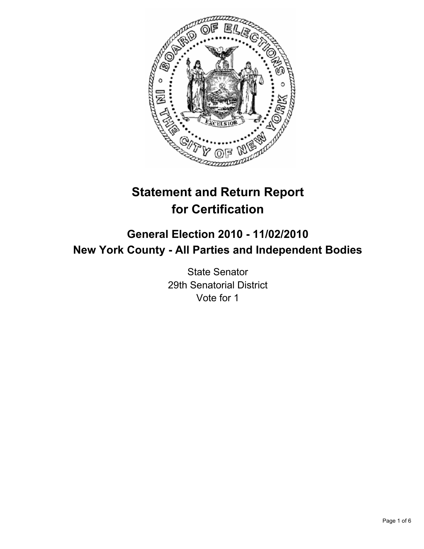

# **Statement and Return Report for Certification**

# **General Election 2010 - 11/02/2010 New York County - All Parties and Independent Bodies**

State Senator 29th Senatorial District Vote for 1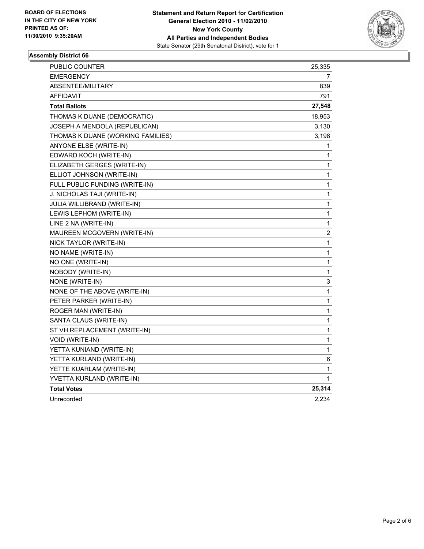

# **Assembly District 66**

| PUBLIC COUNTER                    | 25,335                  |
|-----------------------------------|-------------------------|
| <b>EMERGENCY</b>                  | 7                       |
| ABSENTEE/MILITARY                 | 839                     |
| <b>AFFIDAVIT</b>                  | 791                     |
| <b>Total Ballots</b>              | 27,548                  |
| THOMAS K DUANE (DEMOCRATIC)       | 18,953                  |
| JOSEPH A MENDOLA (REPUBLICAN)     | 3,130                   |
| THOMAS K DUANE (WORKING FAMILIES) | 3,198                   |
| ANYONE ELSE (WRITE-IN)            | 1                       |
| EDWARD KOCH (WRITE-IN)            | 1                       |
| ELIZABETH GERGES (WRITE-IN)       | 1                       |
| ELLIOT JOHNSON (WRITE-IN)         | 1                       |
| FULL PUBLIC FUNDING (WRITE-IN)    | 1                       |
| J. NICHOLAS TAJI (WRITE-IN)       | 1                       |
| JULIA WILLIBRAND (WRITE-IN)       | $\mathbf{1}$            |
| LEWIS LEPHOM (WRITE-IN)           | 1                       |
| LINE 2 NA (WRITE-IN)              | 1                       |
| MAUREEN MCGOVERN (WRITE-IN)       | $\overline{\mathbf{c}}$ |
| NICK TAYLOR (WRITE-IN)            | 1                       |
| NO NAME (WRITE-IN)                | 1                       |
| NO ONE (WRITE-IN)                 | $\mathbf{1}$            |
| NOBODY (WRITE-IN)                 | 1                       |
| NONE (WRITE-IN)                   | 3                       |
| NONE OF THE ABOVE (WRITE-IN)      | 1                       |
| PETER PARKER (WRITE-IN)           | 1                       |
| ROGER MAN (WRITE-IN)              | 1                       |
| SANTA CLAUS (WRITE-IN)            | 1                       |
| ST VH REPLACEMENT (WRITE-IN)      | 1                       |
| VOID (WRITE-IN)                   | 1                       |
| YETTA KUNIAND (WRITE-IN)          | 1                       |
| YETTA KURLAND (WRITE-IN)          | 6                       |
| YETTE KUARLAM (WRITE-IN)          | 1                       |
| YVETTA KURLAND (WRITE-IN)         | 1                       |
| <b>Total Votes</b>                | 25,314                  |
| Unrecorded                        | 2,234                   |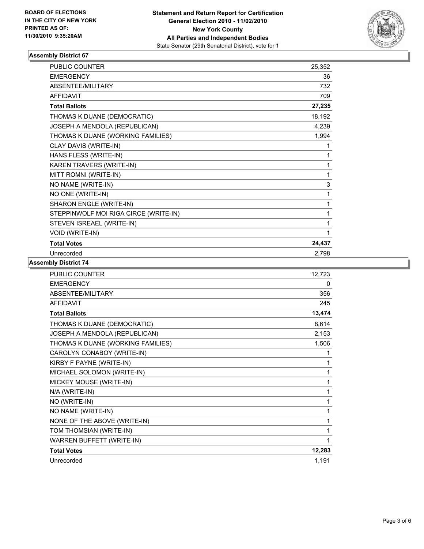

# **Assembly District 67**

| <b>PUBLIC COUNTER</b>                 | 25,352 |
|---------------------------------------|--------|
| <b>EMERGENCY</b>                      | 36     |
| <b>ABSENTEE/MILITARY</b>              | 732    |
| <b>AFFIDAVIT</b>                      | 709    |
| <b>Total Ballots</b>                  | 27,235 |
| THOMAS K DUANE (DEMOCRATIC)           | 18,192 |
| JOSEPH A MENDOLA (REPUBLICAN)         | 4,239  |
| THOMAS K DUANE (WORKING FAMILIES)     | 1,994  |
| CLAY DAVIS (WRITE-IN)                 | 1      |
| HANS FLESS (WRITE-IN)                 | 1      |
| KAREN TRAVERS (WRITE-IN)              | 1      |
| MITT ROMNI (WRITE-IN)                 | 1      |
| NO NAME (WRITE-IN)                    | 3      |
| NO ONE (WRITE-IN)                     | 1      |
| SHARON ENGLE (WRITE-IN)               | 1      |
| STEPPINWOLF MOI RIGA CIRCE (WRITE-IN) | 1      |
| STEVEN ISREAEL (WRITE-IN)             | 1      |
| VOID (WRITE-IN)                       | 1      |
| <b>Total Votes</b>                    | 24,437 |
| Unrecorded                            | 2,798  |

**Assembly District 74**

| <b>PUBLIC COUNTER</b>             | 12,723 |
|-----------------------------------|--------|
| <b>EMERGENCY</b>                  | 0      |
| ABSENTEE/MILITARY                 | 356    |
| <b>AFFIDAVIT</b>                  | 245    |
| <b>Total Ballots</b>              | 13,474 |
| THOMAS K DUANE (DEMOCRATIC)       | 8,614  |
| JOSEPH A MENDOLA (REPUBLICAN)     | 2,153  |
| THOMAS K DUANE (WORKING FAMILIES) | 1,506  |
| CAROLYN CONABOY (WRITE-IN)        | 1      |
| KIRBY F PAYNE (WRITE-IN)          | 1      |
| MICHAEL SOLOMON (WRITE-IN)        | 1      |
| MICKEY MOUSE (WRITE-IN)           | 1      |
| N/A (WRITE-IN)                    | 1      |
| NO (WRITE-IN)                     | 1      |
| NO NAME (WRITE-IN)                | 1      |
| NONE OF THE ABOVE (WRITE-IN)      | 1      |
| TOM THOMSIAN (WRITE-IN)           | 1      |
| WARREN BUFFETT (WRITE-IN)         | 1      |
| <b>Total Votes</b>                | 12,283 |
| Unrecorded                        | 1,191  |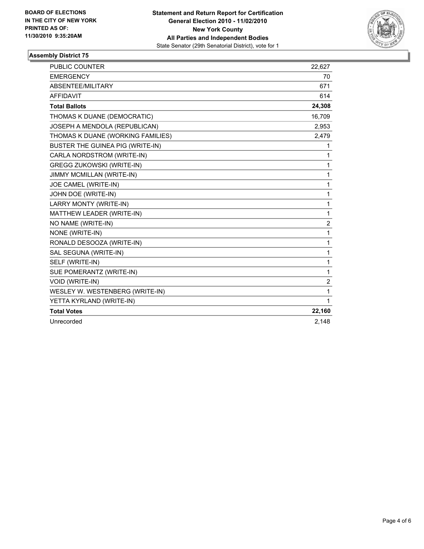

# **Assembly District 75**

| PUBLIC COUNTER                    | 22,627         |
|-----------------------------------|----------------|
| <b>EMERGENCY</b>                  | 70             |
| ABSENTEE/MILITARY                 | 671            |
| <b>AFFIDAVIT</b>                  | 614            |
| <b>Total Ballots</b>              | 24,308         |
| THOMAS K DUANE (DEMOCRATIC)       | 16,709         |
| JOSEPH A MENDOLA (REPUBLICAN)     | 2,953          |
| THOMAS K DUANE (WORKING FAMILIES) | 2,479          |
| BUSTER THE GUINEA PIG (WRITE-IN)  | 1              |
| CARLA NORDSTROM (WRITE-IN)        | 1              |
| <b>GREGG ZUKOWSKI (WRITE-IN)</b>  | 1              |
| JIMMY MCMILLAN (WRITE-IN)         | $\mathbf{1}$   |
| JOE CAMEL (WRITE-IN)              | 1              |
| JOHN DOE (WRITE-IN)               | 1              |
| LARRY MONTY (WRITE-IN)            | $\mathbf{1}$   |
| MATTHEW LEADER (WRITE-IN)         | 1              |
| NO NAME (WRITE-IN)                | $\overline{2}$ |
| NONE (WRITE-IN)                   | 1              |
| RONALD DESOOZA (WRITE-IN)         | $\mathbf{1}$   |
| SAL SEGUNA (WRITE-IN)             | $\mathbf{1}$   |
| SELF (WRITE-IN)                   | 1              |
| SUE POMERANTZ (WRITE-IN)          | 1              |
| VOID (WRITE-IN)                   | $\overline{2}$ |
| WESLEY W. WESTENBERG (WRITE-IN)   | $\mathbf{1}$   |
| YETTA KYRLAND (WRITE-IN)          | 1              |
| <b>Total Votes</b>                | 22,160         |
| Unrecorded                        | 2,148          |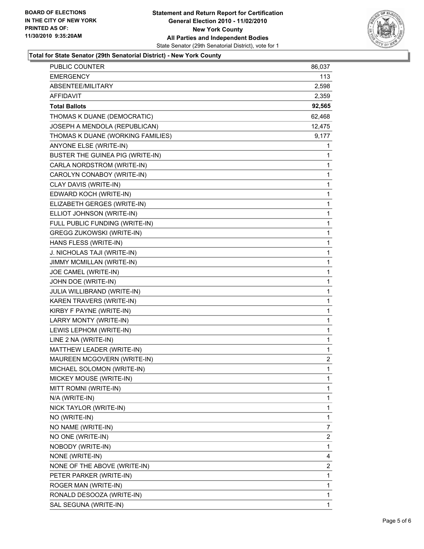

#### **Total for State Senator (29th Senatorial District) - New York County**

| PUBLIC COUNTER                    | 86,037         |
|-----------------------------------|----------------|
| EMERGENCY                         | 113.           |
| ABSENTEE/MILITARY                 | 2,598          |
| <b>AFFIDAVIT</b>                  | 2,359          |
| <b>Total Ballots</b>              | 92,565         |
| THOMAS K DUANE (DEMOCRATIC)       | 62,468         |
| JOSEPH A MENDOLA (REPUBLICAN)     | 12,475         |
| THOMAS K DUANE (WORKING FAMILIES) | 9,177          |
| ANYONE ELSE (WRITE-IN)            | 1              |
| BUSTER THE GUINEA PIG (WRITE-IN)  | 1              |
| CARLA NORDSTROM (WRITE-IN)        | 1              |
| CAROLYN CONABOY (WRITE-IN)        | 1              |
| CLAY DAVIS (WRITE-IN)             | 1              |
| EDWARD KOCH (WRITE-IN)            | 1              |
| ELIZABETH GERGES (WRITE-IN)       | 1              |
| ELLIOT JOHNSON (WRITE-IN)         | $\mathbf{1}$   |
| FULL PUBLIC FUNDING (WRITE-IN)    | 1              |
| GREGG ZUKOWSKI (WRITE-IN)         | 1              |
| HANS FLESS (WRITE-IN)             | 1              |
| J. NICHOLAS TAJI (WRITE-IN)       | 1              |
| JIMMY MCMILLAN (WRITE-IN)         | 1              |
| JOE CAMEL (WRITE-IN)              | $\mathbf{1}$   |
| JOHN DOE (WRITE-IN)               | 1              |
| JULIA WILLIBRAND (WRITE-IN)       | 1              |
| KAREN TRAVERS (WRITE-IN)          | 1              |
| KIRBY F PAYNE (WRITE-IN)          | 1              |
| LARRY MONTY (WRITE-IN)            | 1              |
| LEWIS LEPHOM (WRITE-IN)           | $\mathbf{1}$   |
| LINE 2 NA (WRITE-IN)              | 1              |
| MATTHEW LEADER (WRITE-IN)         | 1              |
| MAUREEN MCGOVERN (WRITE-IN)       | $\overline{a}$ |
| MICHAEL SOLOMON (WRITE-IN)        | 1              |
| MICKEY MOUSE (WRITE-IN)           | 1              |
| MITT ROMNI (WRITE-IN)             | 1              |
| N/A (WRITE-IN)                    | 1              |
| NICK TAYLOR (WRITE-IN)            | 1              |
| NO (WRITE-IN)                     | 1              |
| NO NAME (WRITE-IN)                | 7              |
| NO ONE (WRITE-IN)                 | 2              |
| NOBODY (WRITE-IN)                 | 1              |
| NONE (WRITE-IN)                   | 4              |
| NONE OF THE ABOVE (WRITE-IN)      | 2              |
| PETER PARKER (WRITE-IN)           | 1              |
| ROGER MAN (WRITE-IN)              | 1              |
| RONALD DESOOZA (WRITE-IN)         | 1              |
| SAL SEGUNA (WRITE-IN)             | 1              |